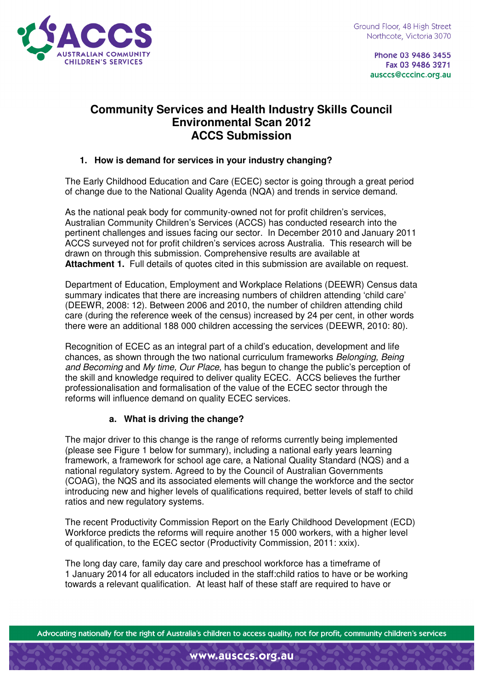

Phone 03 9486 3455 Fax 03 9486 3271 ausccs@cccinc.org.au

# **Community Services and Health Industry Skills Council Environmental Scan 2012 ACCS Submission**

## **1. How is demand for services in your industry changing?**

The Early Childhood Education and Care (ECEC) sector is going through a great period of change due to the National Quality Agenda (NQA) and trends in service demand.

As the national peak body for community-owned not for profit children's services, Australian Community Children's Services (ACCS) has conducted research into the pertinent challenges and issues facing our sector. In December 2010 and January 2011 ACCS surveyed not for profit children's services across Australia. This research will be drawn on through this submission. Comprehensive results are available at **Attachment 1.** Full details of quotes cited in this submission are available on request.

Department of Education, Employment and Workplace Relations (DEEWR) Census data summary indicates that there are increasing numbers of children attending 'child care' (DEEWR, 2008: 12). Between 2006 and 2010, the number of children attending child care (during the reference week of the census) increased by 24 per cent, in other words there were an additional 188 000 children accessing the services (DEEWR, 2010: 80).

Recognition of ECEC as an integral part of a child's education, development and life chances, as shown through the two national curriculum frameworks Belonging, Being and Becoming and My time, Our Place, has begun to change the public's perception of the skill and knowledge required to deliver quality ECEC. ACCS believes the further professionalisation and formalisation of the value of the ECEC sector through the reforms will influence demand on quality ECEC services.

## **a. What is driving the change?**

The major driver to this change is the range of reforms currently being implemented (please see Figure 1 below for summary), including a national early years learning framework, a framework for school age care, a National Quality Standard (NQS) and a national regulatory system. Agreed to by the Council of Australian Governments (COAG), the NQS and its associated elements will change the workforce and the sector introducing new and higher levels of qualifications required, better levels of staff to child ratios and new regulatory systems.

The recent Productivity Commission Report on the Early Childhood Development (ECD) Workforce predicts the reforms will require another 15 000 workers, with a higher level of qualification, to the ECEC sector (Productivity Commission, 2011: xxix).

The long day care, family day care and preschool workforce has a timeframe of 1 January 2014 for all educators included in the staff:child ratios to have or be working towards a relevant qualification. At least half of these staff are required to have or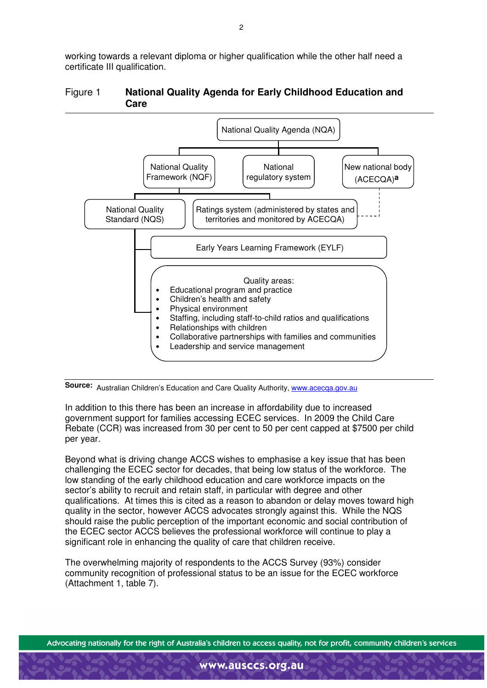working towards a relevant diploma or higher qualification while the other half need a certificate III qualification.

## Figure 1 **National Quality Agenda for Early Childhood Education and Care**



## Source: Australian Children's Education and Care Quality Authority, www.acecqa.gov.au

In addition to this there has been an increase in affordability due to increased government support for families accessing ECEC services. In 2009 the Child Care Rebate (CCR) was increased from 30 per cent to 50 per cent capped at \$7500 per child per year.

Beyond what is driving change ACCS wishes to emphasise a key issue that has been challenging the ECEC sector for decades, that being low status of the workforce. The low standing of the early childhood education and care workforce impacts on the sector's ability to recruit and retain staff, in particular with degree and other qualifications. At times this is cited as a reason to abandon or delay moves toward high quality in the sector, however ACCS advocates strongly against this. While the NQS should raise the public perception of the important economic and social contribution of the ECEC sector ACCS believes the professional workforce will continue to play a significant role in enhancing the quality of care that children receive.

The overwhelming majority of respondents to the ACCS Survey (93%) consider community recognition of professional status to be an issue for the ECEC workforce (Attachment 1, table 7).

Advocating nationally for the right of Australia's children to access quality, not for profit, community children's services

www.ausccs.org.au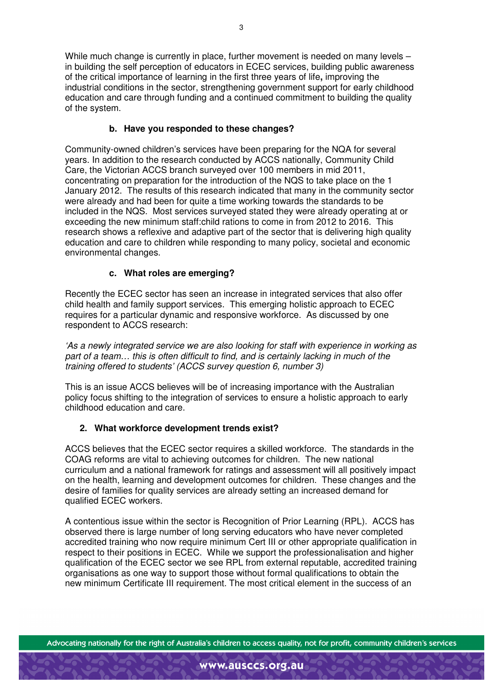While much change is currently in place, further movement is needed on many levels – in building the self perception of educators in ECEC services, building public awareness of the critical importance of learning in the first three years of life**,** improving the industrial conditions in the sector, strengthening government support for early childhood education and care through funding and a continued commitment to building the quality of the system.

## **b. Have you responded to these changes?**

Community-owned children's services have been preparing for the NQA for several years. In addition to the research conducted by ACCS nationally, Community Child Care, the Victorian ACCS branch surveyed over 100 members in mid 2011, concentrating on preparation for the introduction of the NQS to take place on the 1 January 2012. The results of this research indicated that many in the community sector were already and had been for quite a time working towards the standards to be included in the NQS. Most services surveyed stated they were already operating at or exceeding the new minimum staff:child rations to come in from 2012 to 2016. This research shows a reflexive and adaptive part of the sector that is delivering high quality education and care to children while responding to many policy, societal and economic environmental changes.

## **c. What roles are emerging?**

Recently the ECEC sector has seen an increase in integrated services that also offer child health and family support services. This emerging holistic approach to ECEC requires for a particular dynamic and responsive workforce. As discussed by one respondent to ACCS research:

'As a newly integrated service we are also looking for staff with experience in working as part of a team… this is often difficult to find, and is certainly lacking in much of the training offered to students' (ACCS survey question 6, number 3)

This is an issue ACCS believes will be of increasing importance with the Australian policy focus shifting to the integration of services to ensure a holistic approach to early childhood education and care.

#### **2. What workforce development trends exist?**

ACCS believes that the ECEC sector requires a skilled workforce. The standards in the COAG reforms are vital to achieving outcomes for children. The new national curriculum and a national framework for ratings and assessment will all positively impact on the health, learning and development outcomes for children. These changes and the desire of families for quality services are already setting an increased demand for qualified ECEC workers.

A contentious issue within the sector is Recognition of Prior Learning (RPL). ACCS has observed there is large number of long serving educators who have never completed accredited training who now require minimum Cert III or other appropriate qualification in respect to their positions in ECEC. While we support the professionalisation and higher qualification of the ECEC sector we see RPL from external reputable, accredited training organisations as one way to support those without formal qualifications to obtain the new minimum Certificate III requirement. The most critical element in the success of an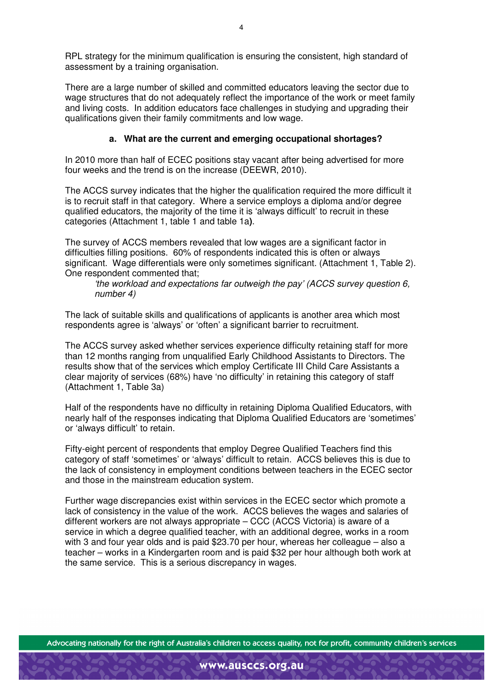RPL strategy for the minimum qualification is ensuring the consistent, high standard of assessment by a training organisation.

There are a large number of skilled and committed educators leaving the sector due to wage structures that do not adequately reflect the importance of the work or meet family and living costs. In addition educators face challenges in studying and upgrading their qualifications given their family commitments and low wage.

### **a. What are the current and emerging occupational shortages?**

In 2010 more than half of ECEC positions stay vacant after being advertised for more four weeks and the trend is on the increase (DEEWR, 2010).

The ACCS survey indicates that the higher the qualification required the more difficult it is to recruit staff in that category. Where a service employs a diploma and/or degree qualified educators, the majority of the time it is 'always difficult' to recruit in these categories (Attachment 1, table 1 and table 1a**)**.

The survey of ACCS members revealed that low wages are a significant factor in difficulties filling positions. 60% of respondents indicated this is often or always significant. Wage differentials were only sometimes significant. (Attachment 1, Table 2). One respondent commented that;

'the workload and expectations far outweigh the pay' (ACCS survey question 6, number 4)

The lack of suitable skills and qualifications of applicants is another area which most respondents agree is 'always' or 'often' a significant barrier to recruitment.

The ACCS survey asked whether services experience difficulty retaining staff for more than 12 months ranging from unqualified Early Childhood Assistants to Directors. The results show that of the services which employ Certificate III Child Care Assistants a clear majority of services (68%) have 'no difficulty' in retaining this category of staff (Attachment 1, Table 3a)

Half of the respondents have no difficulty in retaining Diploma Qualified Educators, with nearly half of the responses indicating that Diploma Qualified Educators are 'sometimes' or 'always difficult' to retain.

Fifty-eight percent of respondents that employ Degree Qualified Teachers find this category of staff 'sometimes' or 'always' difficult to retain. ACCS believes this is due to the lack of consistency in employment conditions between teachers in the ECEC sector and those in the mainstream education system.

Further wage discrepancies exist within services in the ECEC sector which promote a lack of consistency in the value of the work. ACCS believes the wages and salaries of different workers are not always appropriate – CCC (ACCS Victoria) is aware of a service in which a degree qualified teacher, with an additional degree, works in a room with 3 and four year olds and is paid \$23.70 per hour, whereas her colleague – also a teacher – works in a Kindergarten room and is paid \$32 per hour although both work at the same service. This is a serious discrepancy in wages.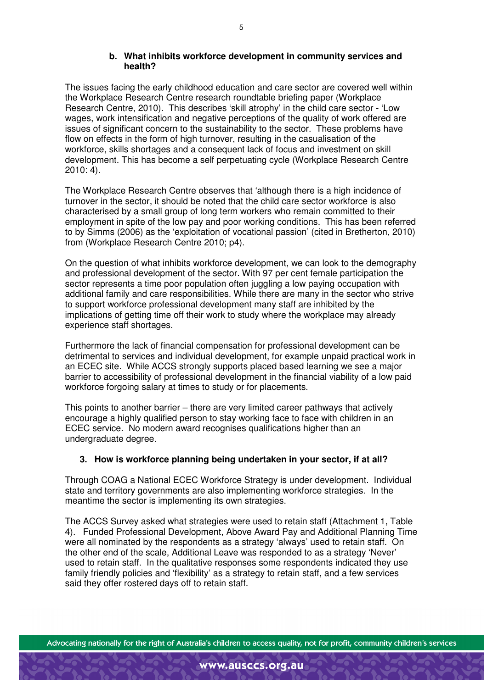#### **b. What inhibits workforce development in community services and health?**

The issues facing the early childhood education and care sector are covered well within the Workplace Research Centre research roundtable briefing paper (Workplace Research Centre, 2010). This describes 'skill atrophy' in the child care sector - 'Low wages, work intensification and negative perceptions of the quality of work offered are issues of significant concern to the sustainability to the sector. These problems have flow on effects in the form of high turnover, resulting in the casualisation of the workforce, skills shortages and a consequent lack of focus and investment on skill development. This has become a self perpetuating cycle (Workplace Research Centre 2010: 4).

The Workplace Research Centre observes that 'although there is a high incidence of turnover in the sector, it should be noted that the child care sector workforce is also characterised by a small group of long term workers who remain committed to their employment in spite of the low pay and poor working conditions. This has been referred to by Simms (2006) as the 'exploitation of vocational passion' (cited in Bretherton, 2010) from (Workplace Research Centre 2010; p4).

On the question of what inhibits workforce development, we can look to the demography and professional development of the sector. With 97 per cent female participation the sector represents a time poor population often juggling a low paying occupation with additional family and care responsibilities. While there are many in the sector who strive to support workforce professional development many staff are inhibited by the implications of getting time off their work to study where the workplace may already experience staff shortages.

Furthermore the lack of financial compensation for professional development can be detrimental to services and individual development, for example unpaid practical work in an ECEC site. While ACCS strongly supports placed based learning we see a major barrier to accessibility of professional development in the financial viability of a low paid workforce forgoing salary at times to study or for placements.

This points to another barrier – there are very limited career pathways that actively encourage a highly qualified person to stay working face to face with children in an ECEC service. No modern award recognises qualifications higher than an undergraduate degree.

## **3. How is workforce planning being undertaken in your sector, if at all?**

Through COAG a National ECEC Workforce Strategy is under development. Individual state and territory governments are also implementing workforce strategies. In the meantime the sector is implementing its own strategies.

The ACCS Survey asked what strategies were used to retain staff (Attachment 1, Table 4). Funded Professional Development, Above Award Pay and Additional Planning Time were all nominated by the respondents as a strategy 'always' used to retain staff. On the other end of the scale, Additional Leave was responded to as a strategy 'Never' used to retain staff. In the qualitative responses some respondents indicated they use family friendly policies and 'flexibility' as a strategy to retain staff, and a few services said they offer rostered days off to retain staff.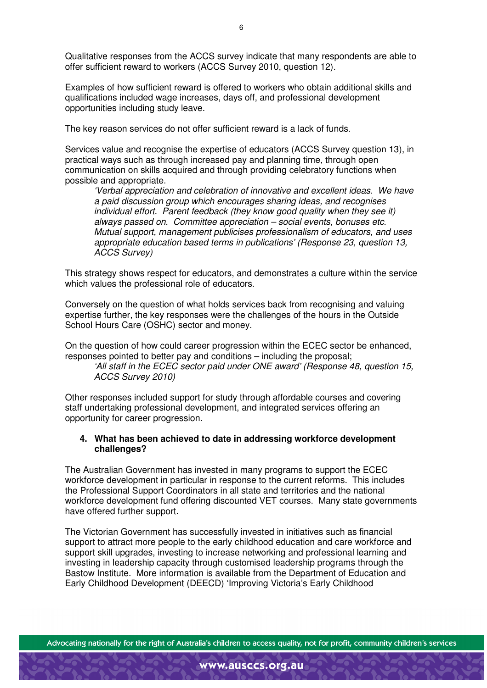Qualitative responses from the ACCS survey indicate that many respondents are able to offer sufficient reward to workers (ACCS Survey 2010, question 12).

Examples of how sufficient reward is offered to workers who obtain additional skills and qualifications included wage increases, days off, and professional development opportunities including study leave.

The key reason services do not offer sufficient reward is a lack of funds.

Services value and recognise the expertise of educators (ACCS Survey question 13), in practical ways such as through increased pay and planning time, through open communication on skills acquired and through providing celebratory functions when possible and appropriate.

'Verbal appreciation and celebration of innovative and excellent ideas. We have a paid discussion group which encourages sharing ideas, and recognises individual effort. Parent feedback (they know good quality when they see it) always passed on. Committee appreciation – social events, bonuses etc. Mutual support, management publicises professionalism of educators, and uses appropriate education based terms in publications' (Response 23, question 13, ACCS Survey)

This strategy shows respect for educators, and demonstrates a culture within the service which values the professional role of educators.

Conversely on the question of what holds services back from recognising and valuing expertise further, the key responses were the challenges of the hours in the Outside School Hours Care (OSHC) sector and money.

On the question of how could career progression within the ECEC sector be enhanced, responses pointed to better pay and conditions – including the proposal;

'All staff in the ECEC sector paid under ONE award' (Response 48, question 15, ACCS Survey 2010)

Other responses included support for study through affordable courses and covering staff undertaking professional development, and integrated services offering an opportunity for career progression.

#### **4. What has been achieved to date in addressing workforce development challenges?**

The Australian Government has invested in many programs to support the ECEC workforce development in particular in response to the current reforms. This includes the Professional Support Coordinators in all state and territories and the national workforce development fund offering discounted VET courses. Many state governments have offered further support.

The Victorian Government has successfully invested in initiatives such as financial support to attract more people to the early childhood education and care workforce and support skill upgrades, investing to increase networking and professional learning and investing in leadership capacity through customised leadership programs through the Bastow Institute. More information is available from the Department of Education and Early Childhood Development (DEECD) 'Improving Victoria's Early Childhood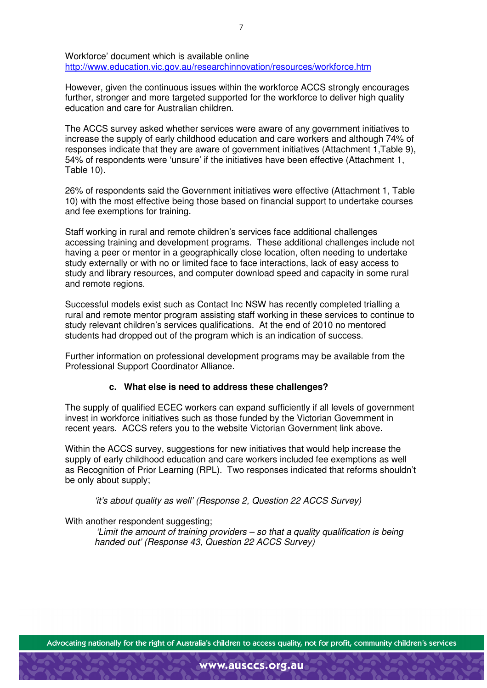Workforce' document which is available online http://www.education.vic.gov.au/researchinnovation/resources/workforce.htm

However, given the continuous issues within the workforce ACCS strongly encourages further, stronger and more targeted supported for the workforce to deliver high quality education and care for Australian children.

The ACCS survey asked whether services were aware of any government initiatives to increase the supply of early childhood education and care workers and although 74% of responses indicate that they are aware of government initiatives (Attachment 1,Table 9), 54% of respondents were 'unsure' if the initiatives have been effective (Attachment 1, Table 10).

26% of respondents said the Government initiatives were effective (Attachment 1, Table 10) with the most effective being those based on financial support to undertake courses and fee exemptions for training.

Staff working in rural and remote children's services face additional challenges accessing training and development programs. These additional challenges include not having a peer or mentor in a geographically close location, often needing to undertake study externally or with no or limited face to face interactions, lack of easy access to study and library resources, and computer download speed and capacity in some rural and remote regions.

Successful models exist such as Contact Inc NSW has recently completed trialling a rural and remote mentor program assisting staff working in these services to continue to study relevant children's services qualifications. At the end of 2010 no mentored students had dropped out of the program which is an indication of success.

Further information on professional development programs may be available from the Professional Support Coordinator Alliance.

#### **c. What else is need to address these challenges?**

The supply of qualified ECEC workers can expand sufficiently if all levels of government invest in workforce initiatives such as those funded by the Victorian Government in recent years. ACCS refers you to the website Victorian Government link above.

Within the ACCS survey, suggestions for new initiatives that would help increase the supply of early childhood education and care workers included fee exemptions as well as Recognition of Prior Learning (RPL). Two responses indicated that reforms shouldn't be only about supply;

'it's about quality as well' (Response 2, Question 22 ACCS Survey)

With another respondent suggesting;

'Limit the amount of training providers – so that a quality qualification is being handed out' (Response 43, Question 22 ACCS Survey)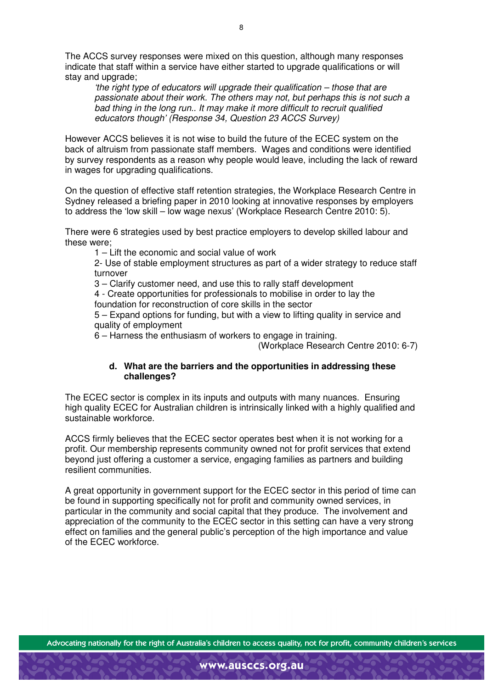The ACCS survey responses were mixed on this question, although many responses indicate that staff within a service have either started to upgrade qualifications or will stay and upgrade;

'the right type of educators will upgrade their qualification – those that are passionate about their work. The others may not, but perhaps this is not such a bad thing in the long run.. It may make it more difficult to recruit qualified educators though' (Response 34, Question 23 ACCS Survey)

However ACCS believes it is not wise to build the future of the ECEC system on the back of altruism from passionate staff members. Wages and conditions were identified by survey respondents as a reason why people would leave, including the lack of reward in wages for upgrading qualifications.

On the question of effective staff retention strategies, the Workplace Research Centre in Sydney released a briefing paper in 2010 looking at innovative responses by employers to address the 'low skill – low wage nexus' (Workplace Research Centre 2010: 5).

There were 6 strategies used by best practice employers to develop skilled labour and these were;

1 – Lift the economic and social value of work

2- Use of stable employment structures as part of a wider strategy to reduce staff turnover

3 – Clarify customer need, and use this to rally staff development

4 - Create opportunities for professionals to mobilise in order to lay the foundation for reconstruction of core skills in the sector

5 – Expand options for funding, but with a view to lifting quality in service and quality of employment

6 – Harness the enthusiasm of workers to engage in training.

(Workplace Research Centre 2010: 6-7)

## **d. What are the barriers and the opportunities in addressing these challenges?**

The ECEC sector is complex in its inputs and outputs with many nuances. Ensuring high quality ECEC for Australian children is intrinsically linked with a highly qualified and sustainable workforce.

ACCS firmly believes that the ECEC sector operates best when it is not working for a profit. Our membership represents community owned not for profit services that extend beyond just offering a customer a service, engaging families as partners and building resilient communities.

A great opportunity in government support for the ECEC sector in this period of time can be found in supporting specifically not for profit and community owned services, in particular in the community and social capital that they produce. The involvement and appreciation of the community to the ECEC sector in this setting can have a very strong effect on families and the general public's perception of the high importance and value of the ECEC workforce.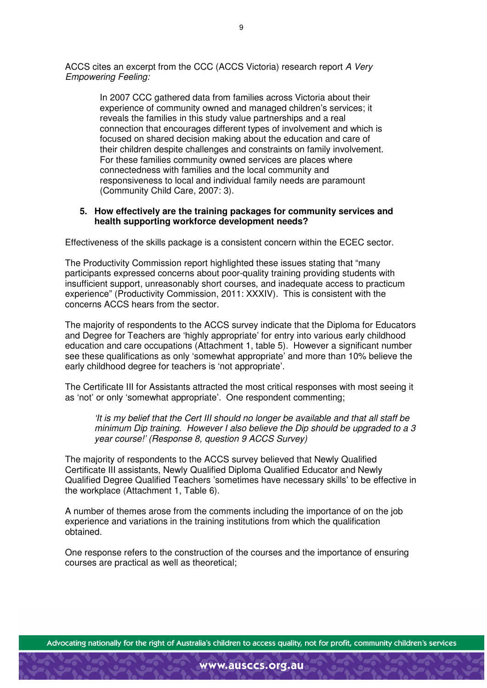ACCS cites an excerpt from the CCC (ACCS Victoria) research report A Very Empowering Feeling:

> In 2007 CCC gathered data from families across Victoria about their experience of community owned and managed children's services; it reveals the families in this study value partnerships and a real connection that encourages different types of involvement and which is focused on shared decision making about the education and care of their children despite challenges and constraints on family involvement. For these families community owned services are places where connectedness with families and the local community and responsiveness to local and individual family needs are paramount (Community Child Care, 2007: 3).

#### **5. How effectively are the training packages for community services and health supporting workforce development needs?**

Effectiveness of the skills package is a consistent concern within the ECEC sector.

The Productivity Commission report highlighted these issues stating that "many participants expressed concerns about poor-quality training providing students with insufficient support, unreasonably short courses, and inadequate access to practicum experience" (Productivity Commission, 2011: XXXIV). This is consistent with the concerns ACCS hears from the sector.

The majority of respondents to the ACCS survey indicate that the Diploma for Educators and Degree for Teachers are 'highly appropriate' for entry into various early childhood education and care occupations (Attachment 1, table 5). However a significant number see these qualifications as only 'somewhat appropriate' and more than 10% believe the early childhood degree for teachers is 'not appropriate'.

The Certificate III for Assistants attracted the most critical responses with most seeing it as 'not' or only 'somewhat appropriate'. One respondent commenting;

'It is my belief that the Cert III should no longer be available and that all staff be minimum Dip training. However I also believe the Dip should be upgraded to a 3 year course!' (Response 8, question 9 ACCS Survey)

The majority of respondents to the ACCS survey believed that Newly Qualified Certificate III assistants, Newly Qualified Diploma Qualified Educator and Newly Qualified Degree Qualified Teachers 'sometimes have necessary skills' to be effective in the workplace (Attachment 1, Table 6).

A number of themes arose from the comments including the importance of on the job experience and variations in the training institutions from which the qualification obtained.

One response refers to the construction of the courses and the importance of ensuring courses are practical as well as theoretical;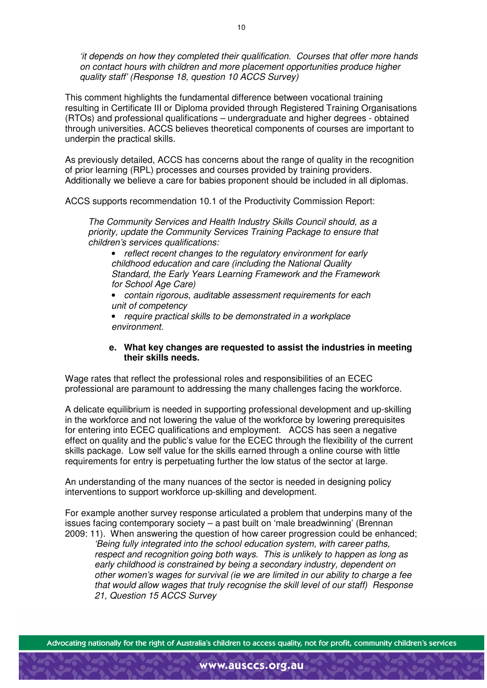'it depends on how they completed their qualification. Courses that offer more hands on contact hours with children and more placement opportunities produce higher quality staff' (Response 18, question 10 ACCS Survey)

This comment highlights the fundamental difference between vocational training resulting in Certificate III or Diploma provided through Registered Training Organisations (RTOs) and professional qualifications – undergraduate and higher degrees - obtained through universities. ACCS believes theoretical components of courses are important to underpin the practical skills.

As previously detailed, ACCS has concerns about the range of quality in the recognition of prior learning (RPL) processes and courses provided by training providers. Additionally we believe a care for babies proponent should be included in all diplomas.

ACCS supports recommendation 10.1 of the Productivity Commission Report:

The Community Services and Health Industry Skills Council should, as a priority, update the Community Services Training Package to ensure that children's services qualifications:

• reflect recent changes to the regulatory environment for early childhood education and care (including the National Quality Standard, the Early Years Learning Framework and the Framework for School Age Care)

• contain rigorous, auditable assessment requirements for each unit of competency

• require practical skills to be demonstrated in a workplace environment.

## **e. What key changes are requested to assist the industries in meeting their skills needs.**

Wage rates that reflect the professional roles and responsibilities of an ECEC professional are paramount to addressing the many challenges facing the workforce.

A delicate equilibrium is needed in supporting professional development and up-skilling in the workforce and not lowering the value of the workforce by lowering prerequisites for entering into ECEC qualifications and employment. ACCS has seen a negative effect on quality and the public's value for the ECEC through the flexibility of the current skills package. Low self value for the skills earned through a online course with little requirements for entry is perpetuating further the low status of the sector at large.

An understanding of the many nuances of the sector is needed in designing policy interventions to support workforce up-skilling and development.

For example another survey response articulated a problem that underpins many of the issues facing contemporary society – a past built on 'male breadwinning' (Brennan 2009: 11). When answering the question of how career progression could be enhanced;

'Being fully integrated into the school education system, with career paths, respect and recognition going both ways. This is unlikely to happen as long as early childhood is constrained by being a secondary industry, dependent on other women's wages for survival (ie we are limited in our ability to charge a fee that would allow wages that truly recognise the skill level of our staff) Response 21, Question 15 ACCS Survey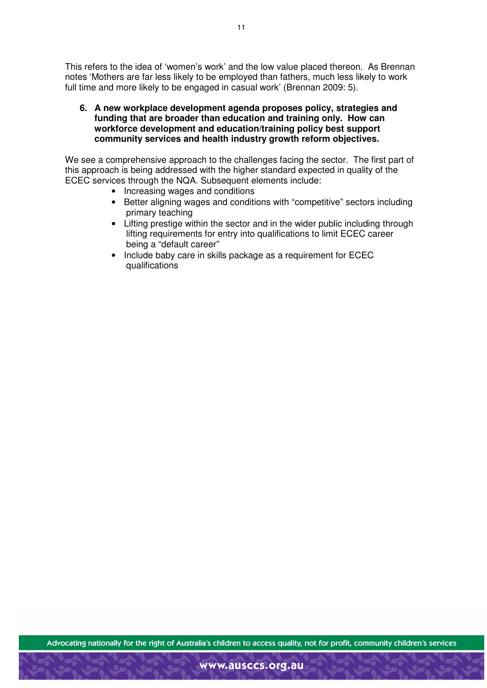This refers to the idea of 'women's work' and the low value placed thereon. As Brennan notes 'Mothers are far less likely to be employed than fathers, much less likely to work full time and more likely to be engaged in casual work' (Brennan 2009: 5).

**6. A new workplace development agenda proposes policy, strategies and funding that are broader than education and training only. How can workforce development and education/training policy best support community services and health industry growth reform objectives.** 

We see a comprehensive approach to the challenges facing the sector. The first part of this approach is being addressed with the higher standard expected in quality of the ECEC services through the NQA. Subsequent elements include:

- Increasing wages and conditions
- Better aligning wages and conditions with "competitive" sectors including primary teaching
- Lifting prestige within the sector and in the wider public including through lifting requirements for entry into qualifications to limit ECEC career being a "default career"
- Include baby care in skills package as a requirement for ECEC qualifications